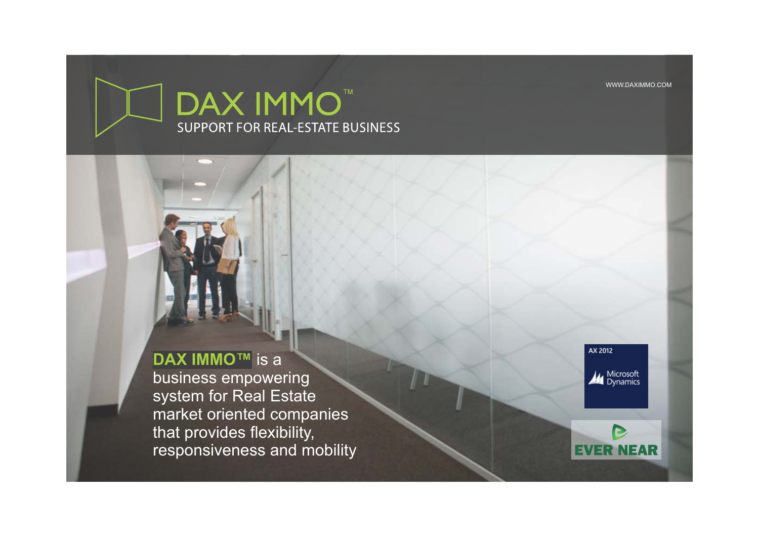WWW.DAXIMMO.COM



# **DAX IMMO™** is a

business empowering system for Real Estate market oriented companies that provides flexibility, responsiveness and mobility AX 2012

Microsoft<br>Dynamics

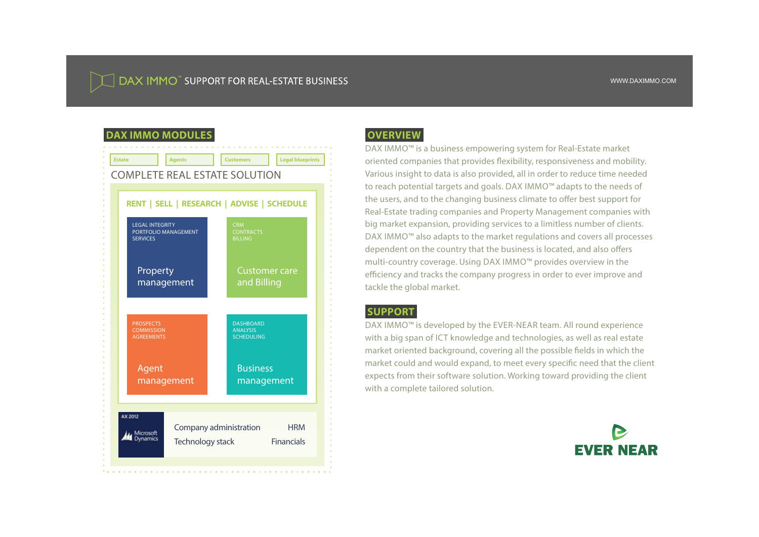# DAX IMMO" SUPPORT FOR REAL-ESTATE BUSINESS

# **DAX IMMO MODULES**



# **OVERVIEW**

DAX IMMO<sup>™</sup> is a business empowering system for Real-Estate market oriented companies that provides flexibility, responsiveness and mobility. Various insight to data is also provided, all in order to reduce time needed to reach potential targets and goals. DAX IMMO™ adapts to the needs of the users, and to the changing business climate to offer best support for Real-Estate trading companies and Property Management companies with big market expansion, providing services to a limitless number of clients. DAX IMMO<sup>™</sup> also adapts to the market regulations and covers all processes dependent on the country that the business is located, and also offers multi-country coverage. Using DAX IMMO<sup>™</sup> provides overview in the efficiency and tracks the company progress in order to ever improve and tackle the global market.

## **SUPPORT**

DAX IMMO<sup>™</sup> is developed by the EVER-NEAR team. All round experience with a big span of ICT knowledge and technologies, as well as real estate market oriented background, covering all the possible fields in which the market could and would expand, to meet every specific need that the client expects from their software solution. Working toward providing the client with a complete tailored solution.

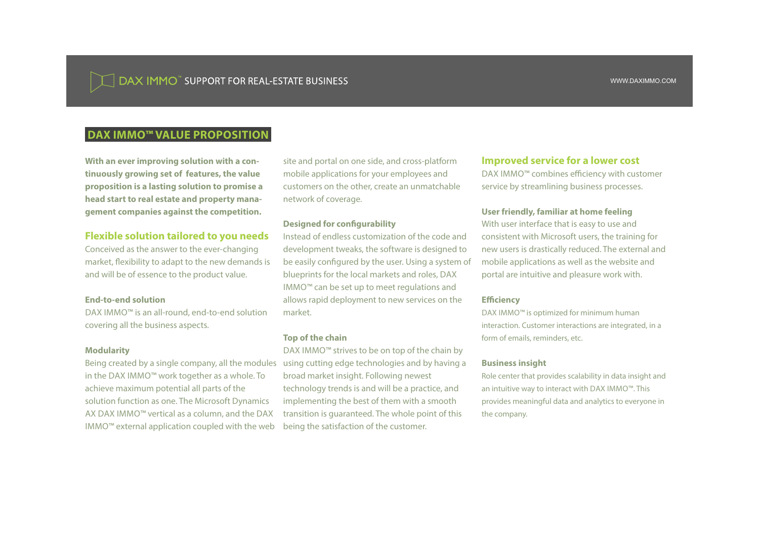# **DAX IMMO<sup>™</sup> VALUE PROPOSITION**

**With an ever improving solution with a continuously growing set of features, the value proposition is a lasting solution to promise a head start to real estate and property management companies against the competition.**

### **Flexible solution tailored to you needs**

Conceived as the answer to the ever-changing market, flexibility to adapt to the new demands is and will be of essence to the product value.

#### **End-to-end solution**

 $DAX IMMO^m$  is an all-round, end-to-end solution covering all the business aspects.

#### **Modularity**

Being created by a single company, all the modules in the DAX IMMO™ work together as a whole. To achieve maximum potential all parts of the solution function as one. The Microsoft Dynamics AX DAX IMMO $<sup>m</sup>$  vertical as a column, and the DAX</sup>  $IMMO^m$  external application coupled with the web

site and portal on one side, and cross-platform mobile applications for your employees and customers on the other, create an unmatchable network of coverage.

#### **Designed for configurability**

Instead of endless customization of the code and development tweaks, the software is designed to be easily configured by the user. Using a system of blueprints for the local markets and roles, DAX  $IMMO^m$  can be set up to meet regulations and allows rapid deployment to new services on the market.

#### **Top of the chain**

DAX IMMO<sup>™</sup> strives to be on top of the chain by using cutting edge technologies and by having a broad market insight. Following newest technology trends is and will be a practice, and implementing the best of them with a smooth transition is guaranteed. The whole point of this being the satisfaction of the customer.

#### **Improved service for a lower cost**

 $DAX$  IMMO $<sup>m</sup>$  combines efficiency with customer</sup> service by streamlining business processes.

#### **User friendly, familiar at home feeling**

With user interface that is easy to use and consistent with Microsoft users, the training for new users is drastically reduced. The external and mobile applications as well as the website and portal are intuitive and pleasure work with.

#### **Efficiency**

DAX IMMO<sup>™</sup> is optimized for minimum human interaction. Customer interactions are integrated, in a form of emails, reminders, etc.

#### **Business insight**

Role center that provides scalability in data insight and an intuitive way to interact with DAX IMMO™. This provides meaningful data and analytics to everyone in the company.